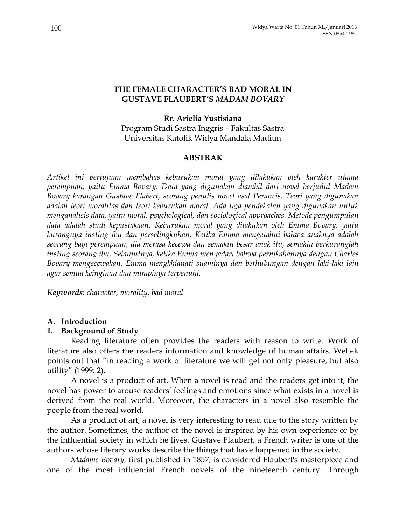### **THE FEMALE CHARACTER'S BAD MORAL IN GUSTAVE FLAUBERT'S** *MADAM BOVARY*

# **Rr. Arielia Yustisiana**

Program Studi Sastra Inggris – Fakultas Sastra Universitas Katolik Widya Mandala Madiun

# **ABSTRAK**

*Artikel ini bertujuan membahas keburukan moral yang dilakukan oleh karakter utama perempuan, yaitu Emma Bovary. Data yang digunakan diambil dari novel berjudul Madam Bovary karangan Gustave Flabert, seorang penulis novel asal Perancis. Teori yang digunakan adalah teori moralitas dan teori keburukan moral. Ada tiga pendekatan yang digunakan untuk menganalisis data, yaitu moral, psychological, dan sociological approaches. Metode pengumpulan data adalah studi kepustakaan. Keburukan moral yang dilakukan oleh Emma Bovary, yaitu kurangnya insting ibu dan perselingkuhan. Ketika Emma mengetahui bahwa anaknya adalah seorang bayi perempuan, dia merasa kecewa dan semakin besar anak itu, semakin berkuranglah insting seorang ibu. Selanjutnya, ketika Emma menyadari bahwa pernikahannya dengan Charles Bovary mengecewakan, Emma mengkhianati suaminya dan berhubungan dengan laki-laki lain agar semua keinginan dan mimpinya terpenuhi.* 

*Keywords: character, morality, bad moral*

# **A. Introduction**

# **1. Background of Study**

Reading literature often provides the readers with reason to write. Work of literature also offers the readers information and knowledge of human affairs. Wellek points out that "in reading a work of literature we will get not only pleasure, but also utility" (1999: 2).

A novel is a product of art. When a novel is read and the readers get into it, the novel has power to arouse readers' feelings and emotions since what exists in a novel is derived from the real world. Moreover, the characters in a novel also resemble the people from the real world.

As a product of art, a novel is very interesting to read due to the story written by the author. Sometimes, the author of the novel is inspired by his own experience or by the influential society in which he lives. Gustave Flaubert, a French writer is one of the authors whose literary works describe the things that have happened in the society.

*Madame Bovary,* first published in 1857, is considered Flaubert's masterpiece and one of the most influential French novels of the nineteenth century. Through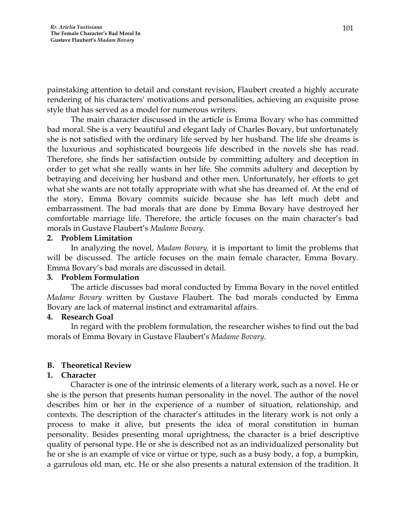painstaking attention to detail and constant revision, Flaubert created a highly accurate rendering of his characters' motivations and personalities, achieving an exquisite prose style that has served as a model for numerous writers.

The main character discussed in the article is Emma Bovary who has committed bad moral. She is a very beautiful and elegant lady of Charles Bovary, but unfortunately she is not satisfied with the ordinary life served by her husband. The life she dreams is the luxurious and sophisticated bourgeois life described in the novels she has read. Therefore, she finds her satisfaction outside by committing adultery and deception in order to get what she really wants in her life. She commits adultery and deception by betraying and deceiving her husband and other men. Unfortunately, her efforts to get what she wants are not totally appropriate with what she has dreamed of. At the end of the story, Emma Bovary commits suicide because she has left much debt and embarrassment. The bad morals that are done by Emma Bovary have destroyed her comfortable marriage life. Therefore, the article focuses on the main character's bad morals in Gustave Flaubert's *Madame Bovary*.

### **2. Problem Limitation**

In analyzing the novel, *Madam Bovary,* it is important to limit the problems that will be discussed. The article focuses on the main female character, Emma Bovary. Emma Bovary's bad morals are discussed in detail.

# **3. Problem Formulation**

The article discusses bad moral conducted by Emma Bovary in the novel entitled *Madame Bovary* written by Gustave Flaubert. The bad morals conducted by Emma Bovary are lack of maternal instinct and extramarital affairs.

# **4. Research Goal**

In regard with the problem formulation, the researcher wishes to find out the bad morals of Emma Bovary in Gustave Flaubert's *Madame Bovary*.

# **B. Theoretical Review**

# **1. Character**

Character is one of the intrinsic elements of a literary work, such as a novel. He or she is the person that presents human personality in the novel. The author of the novel describes him or her in the experience of a number of situation, relationship, and contexts. The description of the character's attitudes in the literary work is not only a process to make it alive, but presents the idea of moral constitution in human personality. Besides presenting moral uprightness, the character is a brief descriptive quality of personal type. He or she is described not as an individualized personality but he or she is an example of vice or virtue or type, such as a busy body, a fop, a bumpkin, a garrulous old man, etc. He or she also presents a natural extension of the tradition. It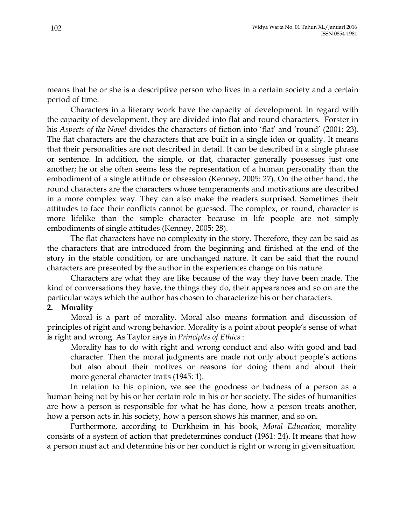means that he or she is a descriptive person who lives in a certain society and a certain period of time.

Characters in a literary work have the capacity of development. In regard with the capacity of development, they are divided into flat and round characters. Forster in his *Aspects of the Novel* divides the characters of fiction into 'flat' and 'round' (2001: 23). The flat characters are the characters that are built in a single idea or quality. It means that their personalities are not described in detail. It can be described in a single phrase or sentence. In addition, the simple, or flat, character generally possesses just one another; he or she often seems less the representation of a human personality than the embodiment of a single attitude or obsession (Kenney, 2005: 27). On the other hand, the round characters are the characters whose temperaments and motivations are described in a more complex way. They can also make the readers surprised. Sometimes their attitudes to face their conflicts cannot be guessed. The complex, or round, character is more lifelike than the simple character because in life people are not simply embodiments of single attitudes (Kenney, 2005: 28).

The flat characters have no complexity in the story. Therefore, they can be said as the characters that are introduced from the beginning and finished at the end of the story in the stable condition, or are unchanged nature. It can be said that the round characters are presented by the author in the experiences change on his nature.

Characters are what they are like because of the way they have been made. The kind of conversations they have, the things they do, their appearances and so on are the particular ways which the author has chosen to characterize his or her characters.

### **2. Morality**

Moral is a part of morality. Moral also means formation and discussion of principles of right and wrong behavior. Morality is a point about people's sense of what is right and wrong. As Taylor says in *Principles of Ethics* :

Morality has to do with right and wrong conduct and also with good and bad character. Then the moral judgments are made not only about people's actions but also about their motives or reasons for doing them and about their more general character traits (1945: 1).

In relation to his opinion, we see the goodness or badness of a person as a human being not by his or her certain role in his or her society. The sides of humanities are how a person is responsible for what he has done, how a person treats another, how a person acts in his society, how a person shows his manner, and so on.

Furthermore, according to Durkheim in his book, *Moral Education,* morality consists of a system of action that predetermines conduct (1961: 24). It means that how a person must act and determine his or her conduct is right or wrong in given situation.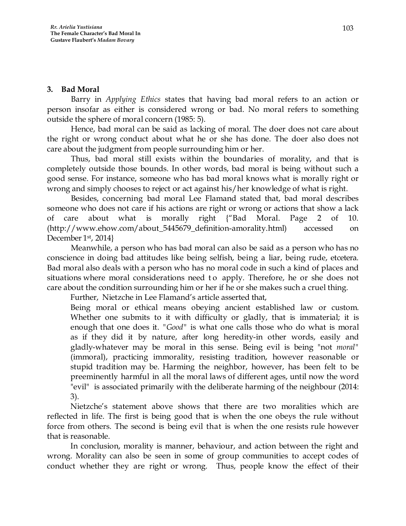# **3. Bad Moral**

Barry in *Applying Ethics* states that having bad moral refers to an action or person insofar as either is considered wrong or bad. No moral refers to something outside the sphere of moral concern (1985: 5).

Hence, bad moral can be said as lacking of moral. The doer does not care about the right or wrong conduct about what he or she has done. The doer also does not care about the judgment from people surrounding him or her.

Thus, bad moral still exists within the boundaries of morality, and that is completely outside those bounds. In other words, bad moral is being without such a good sense. For instance, someone who has bad moral knows what is morally right or wrong and simply chooses to reject or act against his/her knowledge of what is right.

Besides, concerning bad moral Lee Flamand stated that, bad moral describes someone who does not care if his actions are right or wrong or actions that show a lack of care about what is morally right {"Bad Moral. Page 2 of 10. (http://www.ehow.com/about\_5445679\_definition-amorality.html) accessed on December 1st , 2014}

Meanwhile, a person who has bad moral can also be said as a person who has no conscience in doing bad attitudes like being selfish, being a liar, being rude, etcetera. Bad moral also deals with a person who has no moral code in such a kind of places and situations where moral considerations need to apply. Therefore, he or she does not care about the condition surrounding him or her if he or she makes such a cruel thing.

Further, Nietzche in Lee Flamand's article asserted that,

Being moral or ethical means obeying ancient established law or custom. Whether one submits to it with difficulty or gladly, that is immaterial; it is enough that one does it. *"Good"* is what one calls those who do what is moral as if they did it by nature, after long heredity-in other words, easily and gladly-whatever may be moral in this sense. Being evil is being "not *moral"* (immoral), practicing immorality, resisting tradition, however reasonable or stupid tradition may be. Harming the neighbor, however, has been felt to be preeminently harmful in all the moral laws of different ages, until now the word "evil" is associated primarily with the deliberate harming of the neighbour (2014: 3).

Nietzche's statement above shows that there are two moralities which are reflected in life. The first is being good that is when the one obeys the rule without force from others. The second is being evil that is when the one resists rule however that is reasonable.

In conclusion, morality is manner, behaviour, and action between the right and wrong. Morality can also be seen in some of group communities to accept codes of conduct whether they are right or wrong. Thus, people know the effect of their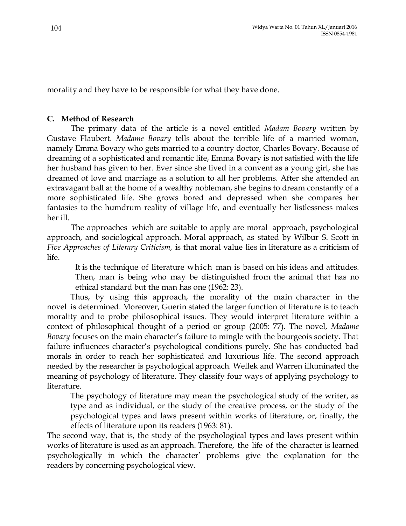morality and they have to be responsible for what they have done.

# **C. Method of Research**

The primary data of the article is a novel entitled *Madam Bovary* written by Gustave Flaubert. *Madame Bovary* tells about the terrible life of a married woman, namely Emma Bovary who gets married to a country doctor, Charles Bovary. Because of dreaming of a sophisticated and romantic life, Emma Bovary is not satisfied with the life her husband has given to her. Ever since she lived in a convent as a young girl, she has dreamed of love and marriage as a solution to all her problems. After she attended an extravagant ball at the home of a wealthy nobleman, she begins to dream constantly of a more sophisticated life. She grows bored and depressed when she compares her fantasies to the humdrum reality of village life, and eventually her listlessness makes her ill.

The approaches which are suitable to apply are moral approach, psychological approach, and sociological approach. Moral approach, as stated by Wilbur S. Scott in *Five Approaches of Literary Criticism,* is that moral value lies in literature as a criticism of life.

It is the technique of literature which man is based on his ideas and attitudes. Then, man is being who may be distinguished from the animal that has no ethical standard but the man has one (1962: 23).

Thus, by using this approach, the morality of the main character in the novel is determined. Moreover, Guerin stated the larger function of literature is to teach morality and to probe philosophical issues. They would interpret literature within a context of philosophical thought of a period or group (2005: 77). The novel, *Madame Bovary* focuses on the main character's failure to mingle with the bourgeois society. That failure influences character's psychological conditions purely. She has conducted bad morals in order to reach her sophisticated and luxurious life. The second approach needed by the researcher is psychological approach. Wellek and Warren illuminated the meaning of psychology of literature. They classify four ways of applying psychology to literature.

The psychology of literature may mean the psychological study of the writer, as type and as individual, or the study of the creative process, or the study of the psychological types and laws present within works of literature, or, finally, the effects of literature upon its readers (1963: 81).

The second way, that is, the study of the psychological types and laws present within works of literature is used as an approach. Therefore, the life of the character is learned psychologically in which the character' problems give the explanation for the readers by concerning psychological view.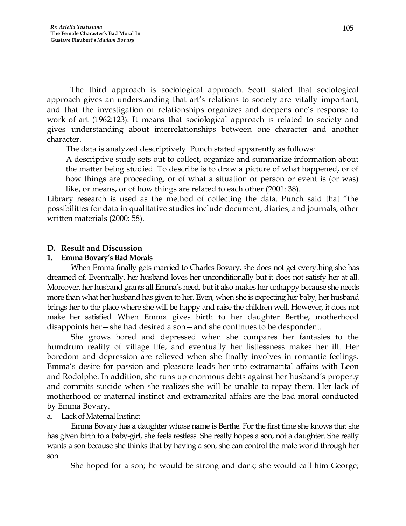The third approach is sociological approach. Scott stated that sociological approach gives an understanding that art's relations to society are vitally important, and that the investigation of relationships organizes and deepens one's response to work of art (1962:123). It means that sociological approach is related to society and gives understanding about interrelationships between one character and another character.

The data is analyzed descriptively. Punch stated apparently as follows:

A descriptive study sets out to collect, organize and summarize information about the matter being studied. To describe is to draw a picture of what happened, or of how things are proceeding, or of what a situation or person or event is (or was) like, or means, or of how things are related to each other (2001: 38).

Library research is used as the method of collecting the data. Punch said that "the possibilities for data in qualitative studies include document, diaries, and journals, other written materials (2000: 58).

### **D. Result and Discussion**

### **1. Emma Bovary's Bad Morals**

When Emma finally gets married to Charles Bovary, she does not get everything she has dreamed of. Eventually, her husband loves her unconditionally but it does not satisfy her at all. Moreover, her husband grants all Emma's need, but it also makes her unhappy because she needs more than what her husband has given to her. Even, when she is expecting her baby, her husband brings her to the place where she will be happy and raise the children well. However, it does not make her satisfied. When Emma gives birth to her daughter Berthe, motherhood disappoints her—she had desired a son—and she continues to be despondent.

She grows bored and depressed when she compares her fantasies to the humdrum reality of village life, and eventually her listlessness makes her ill. Her boredom and depression are relieved when she finally involves in romantic feelings. Emma's desire for passion and pleasure leads her into extramarital affairs with Leon and Rodolphe. In addition, she runs up enormous debts against her husband's property and commits suicide when she realizes she will be unable to repay them. Her lack of motherhood or maternal instinct and extramarital affairs are the bad moral conducted by Emma Bovary.

# a. Lack of Maternal Instinct

Emma Bovary has a daughter whose name is Berthe. For the first time she knows that she has given birth to a baby-girl, she feels restless. She really hopes a son, not a daughter. She really wants a son because she thinks that by having a son, she can control the male world through her son.

She hoped for a son; he would be strong and dark; she would call him George;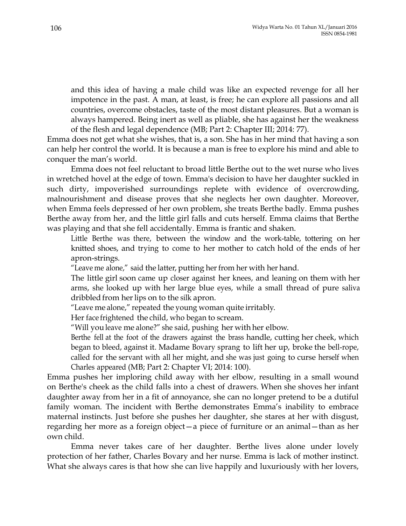and this idea of having a male child was like an expected revenge for all her impotence in the past. A man, at least, is free; he can explore all passions and all countries, overcome obstacles, taste of the most distant pleasures. But a woman is always hampered. Being inert as well as pliable, she has against her the weakness of the flesh and legal dependence (MB; Part 2: Chapter III; 2014: 77).

Emma does not get what she wishes, that is, a son. She has in her mind that having a son can help her control the world. It is because a man is free to explore his mind and able to conquer the man's world.

Emma does not feel reluctant to broad little Berthe out to the wet nurse who lives in wretched hovel at the edge of town. Emma's decision to have her daughter suckled in such dirty, impoverished surroundings replete with evidence of overcrowding, malnourishment and disease proves that she neglects her own daughter. Moreover, when Emma feels depressed of her own problem, she treats Berthe badly. Emma pushes Berthe away from her, and the little girl falls and cuts herself. Emma claims that Berthe was playing and that she fell accidentally. Emma is frantic and shaken.

Little Berthe was there, between the window and the work-table, tottering on her knitted shoes, and trying to come to her mother to catch hold of the ends of her apron-strings.

"Leave me alone," said the latter, putting her from her with her hand.

The little girl soon came up closer against her knees, and leaning on them with her arms, she looked up with her large blue eyes, while a small thread of pure saliva dribbled from her lips on to the silk apron.

"Leave me alone," repeated the young woman quite irritably.

Her face frightened the child, who began to scream.

"Will youleave me alone?" she said, pushing her with her elbow.

Berthe fell at the foot of the drawers against the brass handle, cutting her cheek, which began to bleed, against it. Madame Bovary sprang to lift her up, broke the bell-rope, called for the servant with all her might, and she was just going to curse herself when Charles appeared (MB; Part 2: Chapter VI; 2014: 100).

Emma pushes her imploring child away with her elbow, resulting in a small wound on Berthe's cheek as the child falls into a chest of drawers. When she shoves her infant daughter away from her in a fit of annoyance, she can no longer pretend to be a dutiful family woman. The incident with Berthe demonstrates Emma's inability to embrace maternal instincts. Just before she pushes her daughter, she stares at her with disgust, regarding her more as a foreign object—a piece of furniture or an animal—than as her own child.

Emma never takes care of her daughter. Berthe lives alone under lovely protection of her father, Charles Bovary and her nurse. Emma is lack of mother instinct. What she always cares is that how she can live happily and luxuriously with her lovers,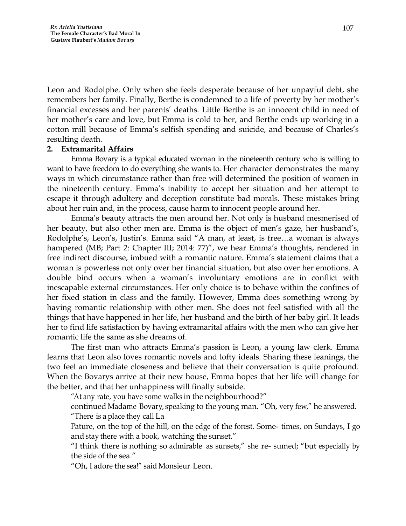Leon and Rodolphe. Only when she feels desperate because of her unpayful debt, she remembers her family. Finally, Berthe is condemned to a life of poverty by her mother's financial excesses and her parents' deaths. Little Berthe is an innocent child in need of her mother's care and love, but Emma is cold to her, and Berthe ends up working in a cotton mill because of Emma's selfish spending and suicide, and because of Charles's resulting death.

### **2. Extramarital Affairs**

Emma Bovary is a typical educated woman in the nineteenth century who is willing to want to have freedom to do everything she wants to. Her character demonstrates the many ways in which circumstance rather than free will determined the position of women in the nineteenth century. Emma's inability to accept her situation and her attempt to escape it through adultery and deception constitute bad morals. These mistakes bring about her ruin and, in the process, cause harm to innocent people around her.

Emma's beauty attracts the men around her. Not only is husband mesmerised of her beauty, but also other men are. Emma is the object of men's gaze, her husband's, Rodolphe's, Leon's, Justin's. Emma said "A man, at least, is free…a woman is always hampered (MB; Part 2: Chapter III; 2014: 77)", we hear Emma's thoughts, rendered in free indirect discourse, imbued with a romantic nature. Emma's statement claims that a woman is powerless not only over her financial situation, but also over her emotions. A double bind occurs when a woman's involuntary emotions are in conflict with inescapable external circumstances. Her only choice is to behave within the confines of her fixed station in class and the family. However, Emma does something wrong by having romantic relationship with other men. She does not feel satisfied with all the things that have happened in her life, her husband and the birth of her baby girl. It leads her to find life satisfaction by having extramarital affairs with the men who can give her romantic life the same as she dreams of.

The first man who attracts Emma's passion is Leon, a young law clerk. Emma learns that Leon also loves romantic novels and lofty ideals. Sharing these leanings, the two feel an immediate closeness and believe that their conversation is quite profound. When the Bovarys arrive at their new house, Emma hopes that her life will change for the better, and that her unhappiness will finally subside.

"At any rate, you have some walks in the neighbourhood?"

continued Madame Bovary, speaking to the young man. "Oh, very few," he answered. "There is a place they call La

Pature, on the top of the hill, on the edge of the forest. Some- times, on Sundays, I go and stay there with a book, watching the sunset."

"I think there is nothing so admirable as sunsets," she re- sumed; "but especially by the side of the sea."

"Oh, I adore the sea!" said Monsieur Leon.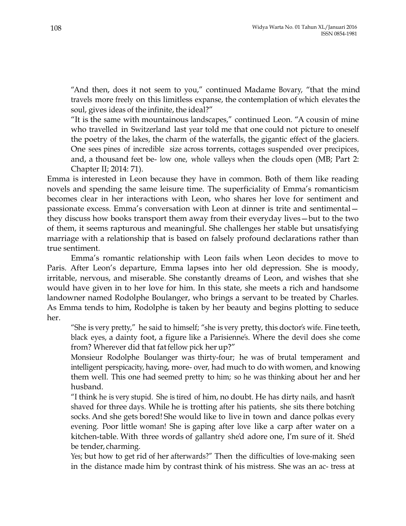"And then, does it not seem to you," continued Madame Bovary, "that the mind travels more freely on this limitless expanse, the contemplation of which elevates the soul, gives ideas of the infinite, the ideal?"

"It is the same with mountainous landscapes," continued Leon. "A cousin of mine who travelled in Switzerland last year told me that one could not picture to oneself the poetry of the lakes, the charm of the waterfalls, the gigantic effect of the glaciers. One sees pines of incredible size across torrents, cottages suspended over precipices, and, a thousand feet be- low one, whole valleys when the clouds open (MB; Part 2: Chapter II; 2014: 71).

Emma is interested in Leon because they have in common. Both of them like reading novels and spending the same leisure time. The superficiality of Emma's romanticism becomes clear in her interactions with Leon, who shares her love for sentiment and passionate excess. Emma's conversation with Leon at dinner is trite and sentimental they discuss how books transport them away from their everyday lives—but to the two of them, it seems rapturous and meaningful. She challenges her stable but unsatisfying marriage with a relationship that is based on falsely profound declarations rather than true sentiment.

Emma's romantic relationship with Leon fails when Leon decides to move to Paris. After Leon's departure, Emma lapses into her old depression. She is moody, irritable, nervous, and miserable. She constantly dreams of Leon, and wishes that she would have given in to her love for him. In this state, she meets a rich and handsome landowner named Rodolphe Boulanger, who brings a servant to be treated by Charles. As Emma tends to him, Rodolphe is taken by her beauty and begins plotting to seduce her.

"She is very pretty," he said to himself; "she is very pretty, this doctor's wife. Fine teeth, black eyes, a dainty foot, a figure like a Parisienne's. Where the devil does she come from? Wherever did that fatfellow pick her up?"

Monsieur Rodolphe Boulanger was thirty-four; he was of brutal temperament and intelligent perspicacity, having, more- over, had much to do with women, and knowing them well. This one had seemed pretty to him; so he was thinking about her and her husband.

"I think he is very stupid. She is tired of him, no doubt. He has dirty nails, and hasn't shaved for three days. While he is trotting after his patients, she sits there botching socks. And she gets bored! She would like to live in town and dance polkas every evening. Poor little woman! She is gaping after love like a carp after water on a kitchen-table. With three words of gallantry she'd adore one, I'm sure of it. She'd be tender, charming.

Yes; but how to get rid of her afterwards?" Then the difficulties of love-making seen in the distance made him by contrast think of his mistress. She was an ac- tress at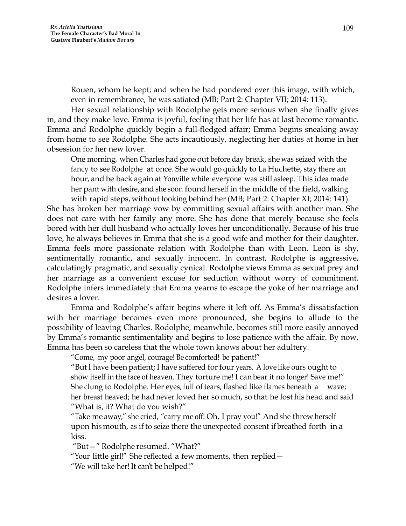Rouen, whom he kept; and when he had pondered over this image, with which, even in remembrance, he was satiated (MB; Part 2: Chapter VII; 2014: 113).

Her sexual relationship with Rodolphe gets more serious when she finally gives in, and they make love. Emma is joyful, feeling that her life has at last become romantic. Emma and Rodolphe quickly begin a full-fledged affair; Emma begins sneaking away from home to see Rodolphe. She acts incautiously, neglecting her duties at home in her obsession for her new lover.

One morning, when Charles had gone out before day break, she was seized with the fancy to see Rodolphe at once. She would go quickly to La Huchette, stay there an hour, and be back again at Yonville while everyone was still asleep. This idea made her pant with desire, and she soon found herself in the middle of the field, walking

with rapid steps, without looking behind her (MB; Part 2: Chapter XI; 2014: 141). She has broken her marriage vow by committing sexual affairs with another man. She does not care with her family any more. She has done that merely because she feels bored with her dull husband who actually loves her unconditionally. Because of his true love, he always believes in Emma that she is a good wife and mother for their daughter. Emma feels more passionate relation with Rodolphe than with Leon. Leon is shy, sentimentally romantic, and sexually innocent. In contrast, Rodolphe is aggressive, calculatingly pragmatic, and sexually cynical. Rodolphe views Emma as sexual prey and her marriage as a convenient excuse for seduction without worry of commitment. Rodolphe infers immediately that Emma yearns to escape the yoke of her marriage and desires a lover.

Emma and Rodolphe's affair begins where it left off. As Emma's dissatisfaction with her marriage becomes even more pronounced, she begins to allude to the possibility of leaving Charles. Rodolphe, meanwhile, becomes still more easily annoyed by Emma's romantic sentimentality and begins to lose patience with the affair. By now, Emma has been so careless that the whole town knows about her adultery.

"Come, my poor angel, courage! Be comforted! be patient!"

"But I have been patient; I have suffered for four years. A love like ours ought to show itself in the face of heaven. They torture me! I can bear it no longer! Save me!" She clung to Rodolphe. Her eyes, full of tears, flashed like flames beneath a wave; her breast heaved; he had never loved her so much, so that he lost his head and said "What is, it? What do you wish?"

"Take me away," she cried, "carry me off! Oh, I pray you!" And she threw herself upon hismouth, as if to seize there the unexpected consent if breathed forth in a kiss.

"But—" Rodolphe resumed. "What?"

"Your little girl!" She reflected a few moments, then replied—

"We will take her! It can't be helped!"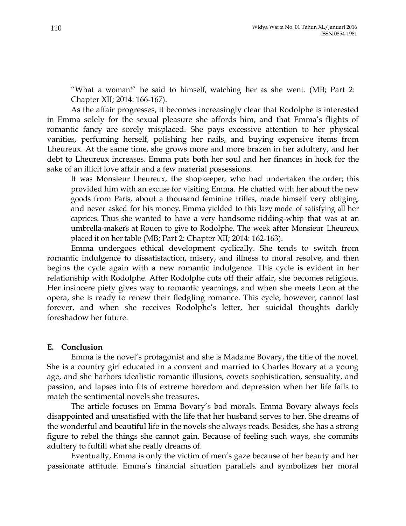"What a woman!" he said to himself, watching her as she went. (MB; Part 2: Chapter XII; 2014: 166-167).

As the affair progresses, it becomes increasingly clear that Rodolphe is interested in Emma solely for the sexual pleasure she affords him, and that Emma's flights of romantic fancy are sorely misplaced. She pays excessive attention to her physical vanities, perfuming herself, polishing her nails, and buying expensive items from Lheureux. At the same time, she grows more and more brazen in her adultery, and her debt to Lheureux increases. Emma puts both her soul and her finances in hock for the sake of an illicit love affair and a few material possessions.

It was Monsieur Lheureux, the shopkeeper, who had undertaken the order; this provided him with an excuse for visiting Emma. He chatted with her about the new goods from Paris, about a thousand feminine trifles, made himself very obliging, and never asked for his money. Emma yielded to this lazy mode of satisfying all her caprices. Thus she wanted to have a very handsome ridding-whip that was at an umbrella-maker's at Rouen to give to Rodolphe. The week after Monsieur Lheureux placed it on hertable (MB; Part 2: Chapter XII; 2014: 162-163).

Emma undergoes ethical development cyclically. She tends to switch from romantic indulgence to dissatisfaction, misery, and illness to moral resolve, and then begins the cycle again with a new romantic indulgence. This cycle is evident in her relationship with Rodolphe. After Rodolphe cuts off their affair, she becomes religious. Her insincere piety gives way to romantic yearnings, and when she meets Leon at the opera, she is ready to renew their fledgling romance. This cycle, however, cannot last forever, and when she receives Rodolphe's letter, her suicidal thoughts darkly foreshadow her future.

### **E. Conclusion**

Emma is the novel's protagonist and she is Madame Bovary, the title of the novel. She is a country girl educated in a convent and married to Charles Bovary at a young age, and she harbors idealistic romantic illusions, covets sophistication, sensuality, and passion, and lapses into fits of extreme boredom and depression when her life fails to match the sentimental novels she treasures.

The article focuses on Emma Bovary's bad morals. Emma Bovary always feels disappointed and unsatisfied with the life that her husband serves to her. She dreams of the wonderful and beautiful life in the novels she always reads. Besides, she has a strong figure to rebel the things she cannot gain. Because of feeling such ways, she commits adultery to fulfill what she really dreams of.

Eventually, Emma is only the victim of men's gaze because of her beauty and her passionate attitude. Emma's financial situation parallels and symbolizes her moral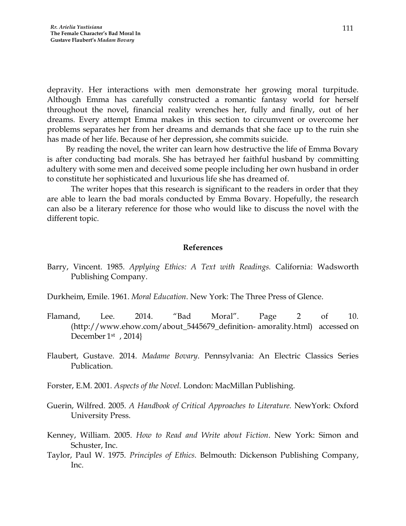depravity. Her interactions with men demonstrate her growing moral turpitude. Although Emma has carefully constructed a romantic fantasy world for herself throughout the novel, financial reality wrenches her, fully and finally, out of her dreams. Every attempt Emma makes in this section to circumvent or overcome her problems separates her from her dreams and demands that she face up to the ruin she has made of her life. Because of her depression, she commits suicide.

By reading the novel, the writer can learn how destructive the life of Emma Bovary is after conducting bad morals. She has betrayed her faithful husband by committing adultery with some men and deceived some people including her own husband in order to constitute her sophisticated and luxurious life she has dreamed of.

The writer hopes that this research is significant to the readers in order that they are able to learn the bad morals conducted by Emma Bovary. Hopefully, the research can also be a literary reference for those who would like to discuss the novel with the different topic.

#### **References**

Barry, Vincent. 1985. *Applying Ethics: A Text with Readings.* California: Wadsworth Publishing Company.

Durkheim, Emile. 1961. *Moral Education*. New York: The Three Press of Glence.

- Flamand, Lee. 2014. "Bad Moral". Page 2 of 10. (http://www.ehow.com/about\_5445679\_definition- amorality.html) accessed on December 1st , 2014}
- Flaubert, Gustave. 2014. *Madame Bovary*. Pennsylvania: An Electric Classics Series Publication.
- Forster, E.M. 2001. *Aspects of the Novel.* London: MacMillan Publishing.
- Guerin, Wilfred. 2005. *A Handbook of Critical Approaches to Literature.* NewYork: Oxford University Press.
- Kenney, William. 2005. *How to Read and Write about Fiction*. New York: Simon and Schuster, Inc.
- Taylor, Paul W. 1975. *Principles of Ethics.* Belmouth: Dickenson Publishing Company, Inc.